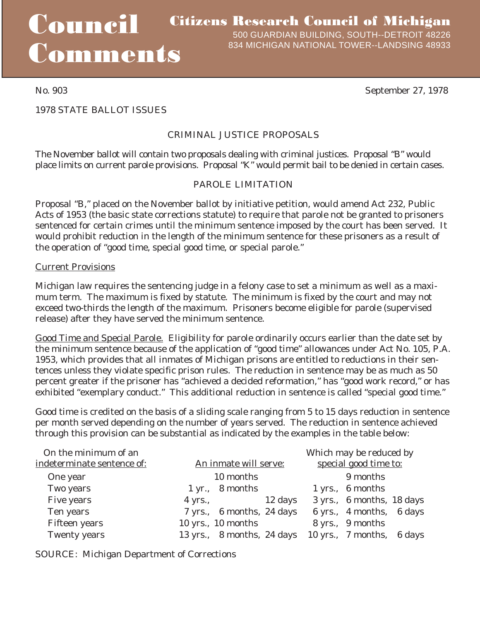# Council Comments

1978 STATE BALLOT ISSUES

# CRIMINAL JUSTICE PROPOSALS

The November ballot will contain two proposals dealing with criminal justices. Proposal "B" would place limits on current parole provisions. Proposal "K" would permit bail to be denied in certain cases.

# PAROLE LIMITATION

Proposal "B," placed on the November ballot by initiative petition, would amend Act 232, Public Acts of 1953 (the basic state corrections statute) to require that parole not be granted to prisoners sentenced for certain crimes until the minimum sentence imposed by the court has been served. It would prohibit reduction in the length of the minimum sentence for these prisoners as a result of the operation of "good time, special good time, or special parole."

#### Current Provisions

Michigan law requires the sentencing judge in a felony case to set a minimum as well as a maximum term. The maximum is fixed by statute. The minimum is fixed by the court and may not exceed two-thirds the length of the maximum. Prisoners become eligible for parole (supervised release) after they have served the minimum sentence.

Good Time and Special Parole. Eligibility for parole ordinarily occurs earlier than the date set by the minimum sentence because of the application of "good time" allowances under Act No. 105, P.A. 1953, which provides that all inmates of Michigan prisons are entitled to reductions in their sentences unless they violate specific prison rules. The reduction in sentence may be as much as 50 percent greater if the prisoner has "achieved a decided reformation," has "good work record," or has exhibited "exemplary conduct." This additional reduction in sentence is called "special good time."

Good time is credited on the basis of a sliding scale ranging from 5 to 15 days reduction in sentence per month served depending on the number of years served. The reduction in sentence achieved through this provision can be substantial as indicated by the examples in the table below:

| On the minimum of an       |                               | Which may be reduced by                              |
|----------------------------|-------------------------------|------------------------------------------------------|
| indeterminate sentence of: | An inmate will serve:         | special good time to:                                |
| One year                   | 10 months                     | 9 months                                             |
| Two years                  | $1 \, yr., \quad 8 \, months$ | 1 yrs., 6 months                                     |
| Five years                 | 12 days<br>$4$ yrs.,          | 3 yrs., 6 months, 18 days                            |
| Ten years                  | 7 yrs., 6 months, 24 days     | 6 yrs., 4 months, 6 days                             |
| <b>Fifteen</b> years       | $10$ yrs., $10$ months        | 8 yrs., 9 months                                     |
| <b>Twenty years</b>        |                               | 13 yrs., 8 months, 24 days 10 yrs., 7 months, 6 days |

SOURCE: Michigan Department of Corrections

No. 903 September 27, 1978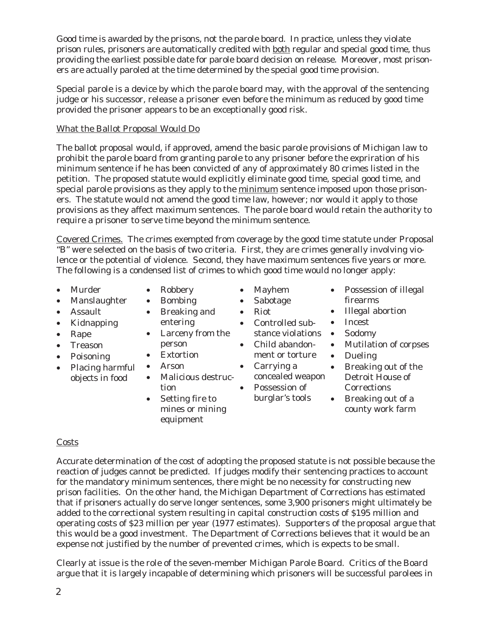Good time is awarded by the prisons, not the parole board. In practice, unless they violate prison rules, prisoners are automatically credited with both regular and special good time, thus providing the earliest possible date for parole board decision on release. Moreover, most prisoners are actually paroled at the time determined by the special good time provision.

Special parole is a device by which the parole board may, with the approval of the sentencing judge or his successor, release a prisoner even before the minimum as reduced by good time provided the prisoner appears to be an exceptionally good risk.

#### What the Ballot Proposal Would Do

The ballot proposal would, if approved, amend the basic parole provisions of Michigan law to prohibit the parole board from granting parole to any prisoner before the expriration of his minimum sentence if he has been convicted of any of approximately 80 crimes listed in the petition. The proposed statute would explicitly eliminate good time, special good time, and special parole provisions as they apply to the minimum sentence imposed upon those prisoners. The statute would not amend the good time law, however; nor would it apply to those provisions as they affect maximum sentences. The parole board would retain the authority to require a prisoner to serve time beyond the minimum sentence.

Covered Crimes. The crimes exempted from coverage by the good time statute under Proposal "B" were selected on the basis of two criteria. First, they are crimes generally involving violence or the potential of violence. Second, they have maximum sentences five years or more. The following is a condensed list of crimes to which good time would no longer apply:

- Murder
- Manslaughter
- Assault
- Kidnapping
- Rape
- Treason
- Poisoning
- Placing harmful objects in food
- Robbery • Bombing
- Breaking and
- entering
- Larceny from the
- person • Extortion
- Arson
	- Malicious destruction
	- Setting fire to mines or mining equipment
- Mayhem
- Sabotage
- Riot
	- Controlled substance violations •
- Child abandonment or torture
- Carrying a concealed weapon
- Possession of burglar's tools
- Possession of illegal firearms
- Illegal abortion
- Incest
- Sodomy
- Mutilation of corpses
- Dueling
- Breaking out of the Detroit House of **Corrections**
- Breaking out of a county work farm

#### Costs

Accurate determination of the cost of adopting the proposed statute is not possible because the reaction of judges cannot be predicted. If judges modify their sentencing practices to account for the mandatory minimum sentences, there might be no necessity for constructing new prison facilities. On the other hand, the Michigan Department of Corrections has estimated that if prisoners actually do serve longer sentences, some 3,900 prisoners might ultimately be added to the correctional system resulting in capital construction costs of \$195 million and operating costs of \$23 million per year (1977 estimates). Supporters of the proposal argue that this would be a good investment. The Department of Corrections believes that it would be an expense not justified by the number of prevented crimes, which is expects to be small.

Clearly at issue is the role of the seven-member Michigan Parole Board. Critics of the Board argue that it is largely incapable of determining which prisoners will be successful parolees in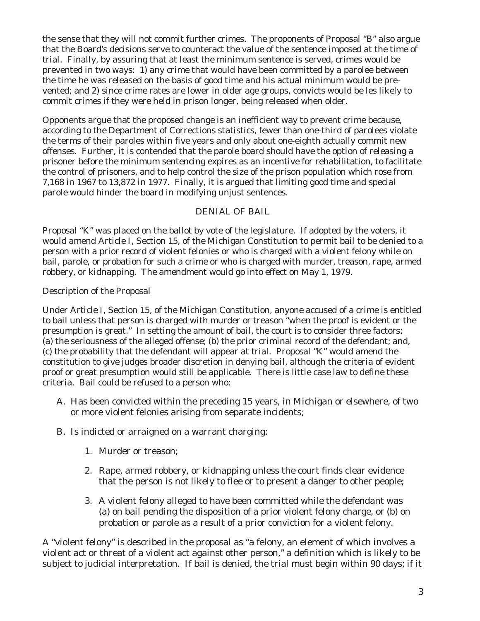the sense that they will not commit further crimes. The proponents of Proposal "B" also argue that the Board's decisions serve to counteract the value of the sentence imposed at the time of trial. Finally, by assuring that at least the minimum sentence is served, crimes would be prevented in two ways: 1) any crime that would have been committed by a parolee between the time he was released on the basis of good time and his actual minimum would be prevented; and 2) since crime rates are lower in older age groups, convicts would be les likely to commit crimes if they were held in prison longer, being released when older.

Opponents argue that the proposed change is an inefficient way to prevent crime because, according to the Department of Corrections statistics, fewer than one-third of parolees violate the terms of their paroles within five years and only about one-eighth actually commit new offenses. Further, it is contended that the parole board should have the option of releasing a prisoner before the minimum sentencing expires as an incentive for rehabilitation, to facilitate the control of prisoners, and to help control the size of the prison population which rose from 7,168 in 1967 to 13,872 in 1977. Finally, it is argued that limiting good time and special parole would hinder the board in modifying unjust sentences.

## DENIAL OF BAIL

Proposal "K" was placed on the ballot by vote of the legislature. If adopted by the voters, it would amend Article I, Section 15, of the Michigan Constitution to permit bail to be denied to a person with a prior record of violent felonies or who is charged with a violent felony while on bail, parole, or probation for such a crime or who is charged with murder, treason, rape, armed robbery, or kidnapping. The amendment would go into effect on May 1, 1979.

## Description of the Proposal

Under Article I, Section 15, of the Michigan Constitution, anyone accused of a crime is entitled to bail unless that person is charged with murder or treason "when the proof is evident or the presumption is great." In setting the amount of bail, the court is to consider three factors: (a) the seriousness of the alleged offense; (b) the prior criminal record of the defendant; and, (c) the probability that the defendant will appear at trial. Proposal "K" would amend the constitution to give judges broader discretion in denying bail, although the criteria of evident proof or great presumption would still be applicable. There is little case law to define these criteria. Bail could be refused to a person who:

- A. Has been convicted within the preceding 15 years, in Michigan or elsewhere, of two or more violent felonies arising from separate incidents;
- B. Is indicted or arraigned on a warrant charging:
	- 1. Murder or treason;
	- 2. Rape, armed robbery, or kidnapping unless the court finds clear evidence that the person is not likely to flee or to present a danger to other people;
	- 3. A violent felony alleged to have been committed while the defendant was (a) on bail pending the disposition of a prior violent felony charge, or (b) on probation or parole as a result of a prior conviction for a violent felony.

A "violent felony" is described in the proposal as "a felony, an element of which involves a violent act or threat of a violent act against other person," a definition which is likely to be subject to judicial interpretation. If bail is denied, the trial must begin within 90 days; if it